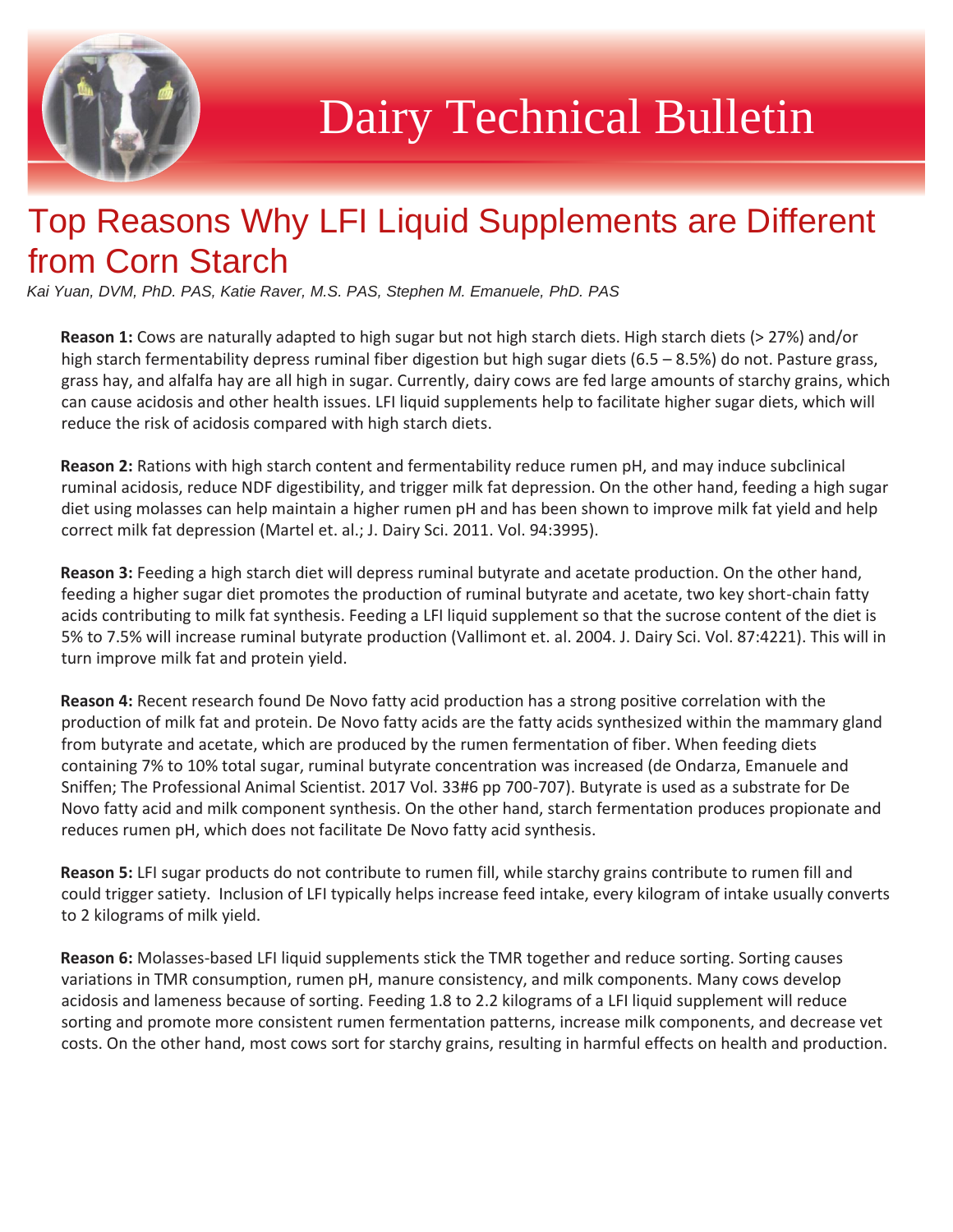

## Dairy Technical Bulletin

## Top Reasons Why LFI Liquid Supplements are Different from Corn Starch

*Kai Yuan, DVM, PhD. PAS, Katie Raver, M.S. PAS, Stephen M. Emanuele, PhD. PAS* 

**Reason 1:** Cows are naturally adapted to high sugar but not high starch diets. High starch diets (> 27%) and/or high starch fermentability depress ruminal fiber digestion but high sugar diets (6.5 – 8.5%) do not. Pasture grass, grass hay, and alfalfa hay are all high in sugar. Currently, dairy cows are fed large amounts of starchy grains, which can cause acidosis and other health issues. LFI liquid supplements help to facilitate higher sugar diets, which will reduce the risk of acidosis compared with high starch diets.

**Reason 2:** Rations with high starch content and fermentability reduce rumen pH, and may induce subclinical ruminal acidosis, reduce NDF digestibility, and trigger milk fat depression. On the other hand, feeding a high sugar diet using molasses can help maintain a higher rumen pH and has been shown to improve milk fat yield and help correct milk fat depression (Martel et. al.; J. Dairy Sci. 2011. Vol. 94:3995).

**Reason 3:** Feeding a high starch diet will depress ruminal butyrate and acetate production. On the other hand, feeding a higher sugar diet promotes the production of ruminal butyrate and acetate, two key short-chain fatty acids contributing to milk fat synthesis. Feeding a LFI liquid supplement so that the sucrose content of the diet is 5% to 7.5% will increase ruminal butyrate production (Vallimont et. al. 2004. J. Dairy Sci. Vol. 87:4221). This will in turn improve milk fat and protein yield.

**Reason 4:** Recent research found De Novo fatty acid production has a strong positive correlation with the production of milk fat and protein. De Novo fatty acids are the fatty acids synthesized within the mammary gland from butyrate and acetate, which are produced by the rumen fermentation of fiber. When feeding diets containing 7% to 10% total sugar, ruminal butyrate concentration was increased (de Ondarza, Emanuele and Sniffen; The Professional Animal Scientist. 2017 Vol. 33#6 pp 700-707). Butyrate is used as a substrate for De Novo fatty acid and milk component synthesis. On the other hand, starch fermentation produces propionate and reduces rumen pH, which does not facilitate De Novo fatty acid synthesis.

**Reason 5:** LFI sugar products do not contribute to rumen fill, while starchy grains contribute to rumen fill and could trigger satiety. Inclusion of LFI typically helps increase feed intake, every kilogram of intake usually converts to 2 kilograms of milk yield.

**Reason 6:** Molasses-based LFI liquid supplements stick the TMR together and reduce sorting. Sorting causes variations in TMR consumption, rumen pH, manure consistency, and milk components. Many cows develop acidosis and lameness because of sorting. Feeding 1.8 to 2.2 kilograms of a LFI liquid supplement will reduce sorting and promote more consistent rumen fermentation patterns, increase milk components, and decrease vet costs. On the other hand, most cows sort for starchy grains, resulting in harmful effects on health and production.